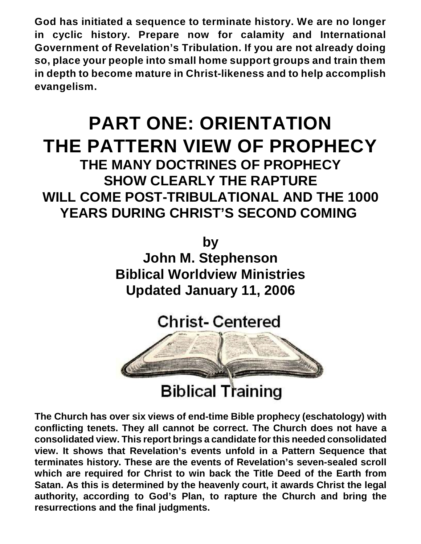**God has initiated a sequence to terminate history. We are no longer in cyclic history. Prepare now for calamity and International Government of Revelation's Tribulation. If you are not already doing so, place your people into small home support groups and train them in depth to become mature in Christ-likeness and to help accomplish evangelism.**

# **PART ONE: ORIENTATION THE PATTERN VIEW OF PROPHECY THE MANY DOCTRINES OF PROPHECY SHOW CLEARLY THE RAPTURE WILL COME POST-TRIBULATIONAL AND THE 1000 YEARS DURING CHRIST'S SECOND COMING**

**by John M. Stephenson**

**Biblical Worldview Ministries Updated January 11, 2006**

**Christ-Centered Biblical Training** 

**The Church has over six views of end-time Bible prophecy (eschatology) with conflicting tenets. They all cannot be correct. The Church does not have a consolidated view. This report brings a candidate for this needed consolidated view. It shows that Revelation's events unfold in a Pattern Sequence that terminates history. These are the events of Revelation's seven-sealed scroll which are required for Christ to win back the Title Deed of the Earth from Satan. As this is determined by the heavenly court, it awards Christ the legal authority, according to God's Plan, to rapture the Church and bring the resurrections and the final judgments.**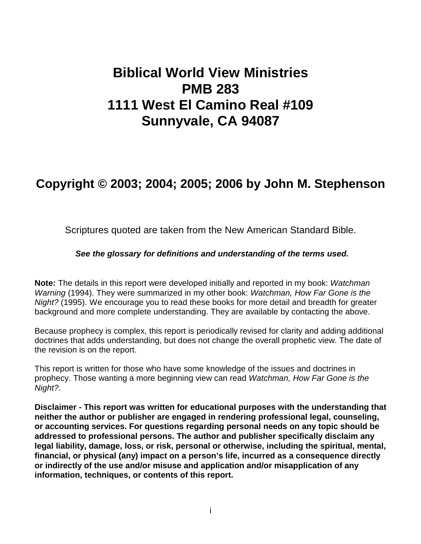## **Biblical World View Ministries PMB 283 1111 West El Camino Real #109 Sunnyvale, CA 94087**

### **Copyright © 2003; 2004; 2005; 2006 by John M. Stephenson**

Scriptures quoted are taken from the New American Standard Bible.

#### *See the glossary for definitions and understanding of the terms used.*

**Note:** The details in this report were developed initially and reported in my book: *Watchman Warning* (1994). They were summarized in my other book: *Watchman, How Far Gone is the Night?* (1995). We encourage you to read these books for more detail and breadth for greater background and more complete understanding. They are available by contacting the above.

Because prophecy is complex, this report is periodically revised for clarity and adding additional doctrines that adds understanding, but does not change the overall prophetic view. The date of the revision is on the report.

This report is written for those who have some knowledge of the issues and doctrines in prophecy. Those wanting a more beginning view can read *Watchman, How Far Gone is the Night?*.

**Disclaimer - This report was written for educational purposes with the understanding that neither the author or publisher are engaged in rendering professional legal, counseling, or accounting services. For questions regarding personal needs on any topic should be addressed to professional persons. The author and publisher specifically disclaim any legal liability, damage, loss, or risk, personal or otherwise, including the spiritual, mental, financial, or physical (any) impact on a person's life, incurred as a consequence directly or indirectly of the use and/or misuse and application and/or misapplication of any information, techniques, or contents of this report.**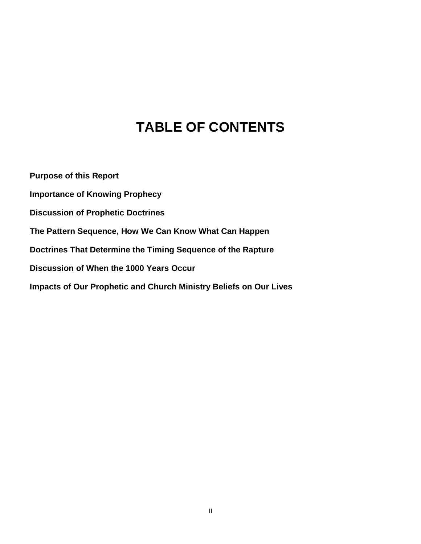## **TABLE OF CONTENTS**

**Purpose of this Report Importance of Knowing Prophecy Discussion of Prophetic Doctrines The Pattern Sequence, How We Can Know What Can Happen Doctrines That Determine the Timing Sequence of the Rapture Discussion of When the 1000 Years Occur Impacts of Our Prophetic and Church Ministry Beliefs on Our Lives**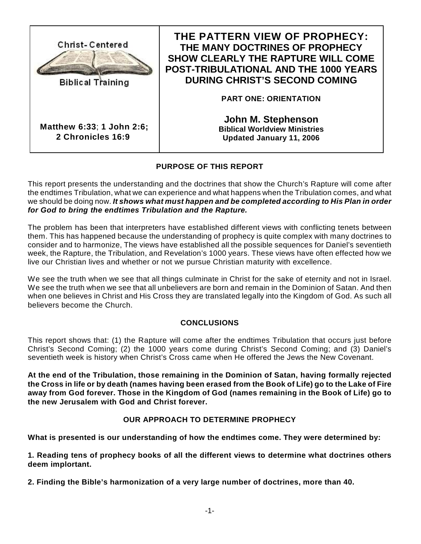

### **THE PATTERN VIEW OF PROPHECY: THE MANY DOCTRINES OF PROPHECY SHOW CLEARLY THE RAPTURE WILL COME POST-TRIBULATIONAL AND THE 1000 YEARS DURING CHRIST'S SECOND COMING**

**PART ONE: ORIENTATION**

**John M. Stephenson Biblical Worldview Ministries Updated January 11, 2006**

### **PURPOSE OF THIS REPORT**

This report presents the understanding and the doctrines that show the Church's Rapture will come after the endtimes Tribulation, what we can experience and what happens when the Tribulation comes, and what we should be doing now. *It shows what must happen and be completed according to His Plan in order for God to bring the endtimes Tribulation and the Rapture.* 

The problem has been that interpreters have established different views with conflicting tenets between them. This has happened because the understanding of prophecy is quite complex with many doctrines to consider and to harmonize, The views have established all the possible sequences for Daniel's seventieth week, the Rapture, the Tribulation, and Revelation's 1000 years. These views have often effected how we live our Christian lives and whether or not we pursue Christian maturity with excellence.

We see the truth when we see that all things culminate in Christ for the sake of eternity and not in Israel. We see the truth when we see that all unbelievers are born and remain in the Dominion of Satan. And then when one believes in Christ and His Cross they are translated legally into the Kingdom of God. As such all believers become the Church.

#### **CONCLUSIONS**

This report shows that: (1) the Rapture will come after the endtimes Tribulation that occurs just before Christ's Second Coming; (2) the 1000 years come during Christ's Second Coming; and (3) Daniel's seventieth week is history when Christ's Cross came when He offered the Jews the New Covenant.

**At the end of the Tribulation, those remaining in the Dominion of Satan, having formally rejected the Cross in life or by death (names having been erased from the Book of Life) go to the Lake of Fire away from God forever. Those in the Kingdom of God (names remaining in the Book of Life) go to the new Jerusalem with God and Christ forever.**

#### **OUR APPROACH TO DETERMINE PROPHECY**

**What is presented is our understanding of how the endtimes come. They were determined by:**

**1. Reading tens of prophecy books of all the different views to determine what doctrines others deem implortant.**

**2. Finding the Bible's harmonization of a very large number of doctrines, more than 40.**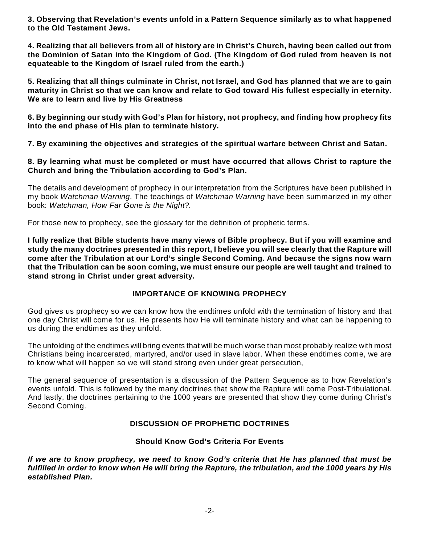**3. Observing that Revelation's events unfold in a Pattern Sequence similarly as to what happened to the Old Testament Jews.**

**4. Realizing that all believers from all of history are in Christ's Church, having been called out from the Dominion of Satan into the Kingdom of God. (The Kingdom of God ruled from heaven is not equateable to the Kingdom of Israel ruled from the earth.)**

**5. Realizing that all things culminate in Christ, not Israel, and God has planned that we are to gain maturity in Christ so that we can know and relate to God toward His fullest especially in eternity. We are to learn and live by His Greatness**

**6. By beginning our study with God's Plan for history, not prophecy, and finding how prophecy fits into the end phase of His plan to terminate history.**

**7. By examining the objectives and strategies of the spiritual warfare between Christ and Satan.**

**8. By learning what must be completed or must have occurred that allows Christ to rapture the Church and bring the Tribulation according to God's Plan.**

The details and development of prophecy in our interpretation from the Scriptures have been published in my book *Watchman Warning*. The teachings of *Watchman Warning* have been summarized in my other book: *Watchman, How Far Gone is the Night?.*

For those new to prophecy, see the glossary for the definition of prophetic terms.

**I fully realize that Bible students have many views of Bible prophecy. But if you will examine and study the many doctrines presented in this report, I believe you will see clearly that the Rapture will come after the Tribulation at our Lord's single Second Coming. And because the signs now warn that the Tribulation can be soon coming, we must ensure our people are well taught and trained to stand strong in Christ under great adversity.**

#### **IMPORTANCE OF KNOWING PROPHECY**

God gives us prophecy so we can know how the endtimes unfold with the termination of history and that one day Christ will come for us. He presents how He will terminate history and what can be happening to us during the endtimes as they unfold.

The unfolding of the endtimes will bring events that will be much worse than most probably realize with most Christians being incarcerated, martyred, and/or used in slave labor. When these endtimes come, we are to know what will happen so we will stand strong even under great persecution,

The general sequence of presentation is a discussion of the Pattern Sequence as to how Revelation's events unfold. This is followed by the many doctrines that show the Rapture will come Post-Tribulational. And lastly, the doctrines pertaining to the 1000 years are presented that show they come during Christ's Second Coming.

#### **DISCUSSION OF PROPHETIC DOCTRINES**

#### **Should Know God's Criteria For Events**

*If we are to know prophecy, we need to know God's criteria that He has planned that must be fulfilled in order to know when He will bring the Rapture, the tribulation, and the 1000 years by His established Plan.*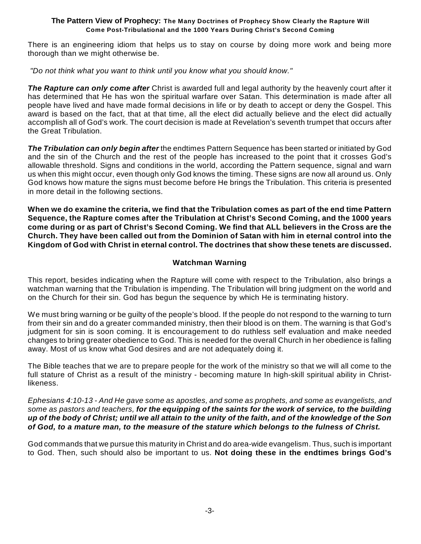There is an engineering idiom that helps us to stay on course by doing more work and being more thorough than we might otherwise be.

 *"Do not think what you want to think until you know what you should know."*

*The Rapture can only come after* Christ is awarded full and legal authority by the heavenly court after it has determined that He has won the spiritual warfare over Satan. This determination is made after all people have lived and have made formal decisions in life or by death to accept or deny the Gospel. This award is based on the fact, that at that time, all the elect did actually believe and the elect did actually accomplish all of God's work. The court decision is made at Revelation's seventh trumpet that occurs after the Great Tribulation.

*The Tribulation can only begin after* the endtimes Pattern Sequence has been started or initiated by God and the sin of the Church and the rest of the people has increased to the point that it crosses God's allowable threshold. Signs and conditions in the world, according the Pattern sequence, signal and warn us when this might occur, even though only God knows the timing. These signs are now all around us. Only God knows how mature the signs must become before He brings the Tribulation. This criteria is presented in more detail in the following sections.

**When we do examine the criteria, we find that the Tribulation comes as part of the end time Pattern Sequence, the Rapture comes after the Tribulation at Christ's Second Coming, and the 1000 years come during or as part of Christ's Second Coming. We find that ALL believers in the Cross are the Church. They have been called out from the Dominion of Satan with him in eternal control into the Kingdom of God with Christ in eternal control. The doctrines that show these tenets are discussed.**

#### **Watchman Warning**

This report, besides indicating when the Rapture will come with respect to the Tribulation, also brings a watchman warning that the Tribulation is impending. The Tribulation will bring judgment on the world and on the Church for their sin. God has begun the sequence by which He is terminating history.

We must bring warning or be guilty of the people's blood. If the people do not respond to the warning to turn from their sin and do a greater commanded ministry, then their blood is on them. The warning is that God's judgment for sin is soon coming. It is encouragement to do ruthless self evaluation and make needed changes to bring greater obedience to God. This is needed for the overall Church in her obedience is falling away. Most of us know what God desires and are not adequately doing it.

The Bible teaches that we are to prepare people for the work of the ministry so that we will all come to the full stature of Christ as a result of the ministry - becoming mature In high-skill spiritual ability in Christlikeness.

*Ephesians 4:10-13 - And He gave some as apostles, and some as prophets, and some as evangelists, and some as pastors and teachers, for the equipping of the saints for the work of service, to the building up of the body of Christ; until we all attain to the unity of the faith, and of the knowledge of the Son of God, to a mature man, to the measure of the stature which belongs to the fulness of Christ.*

God commands that we pursue this maturity in Christ and do area-wide evangelism. Thus, such is important to God. Then, such should also be important to us. **Not doing these in the endtimes brings God's**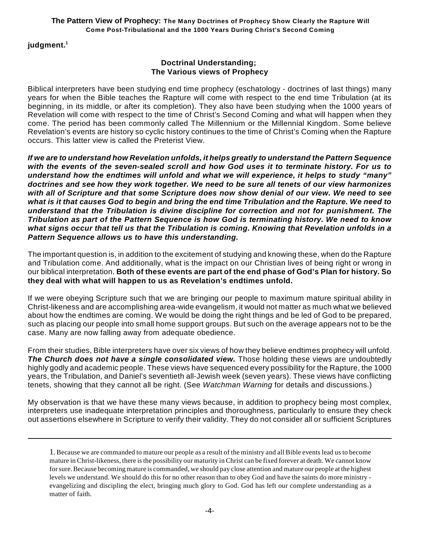#### **judgment.<sup>1</sup>**

#### **Doctrinal Understanding; The Various views of Prophecy**

Biblical interpreters have been studying end time prophecy (eschatology - doctrines of last things) many years for when the Bible teaches the Rapture will come with respect to the end time Tribulation (at its beginning, in its middle, or after its completion). They also have been studying when the 1000 years of Revelation will come with respect to the time of Christ's Second Coming and what will happen when they come. The period has been commonly called The Millennium or the Millennial Kingdom. Some believe Revelation's events are history so cyclic history continues to the time of Christ's Coming when the Rapture occurs. This latter view is called the Preterist View.

*If we are to understand how Revelation unfolds, it helps greatly to understand the Pattern Sequence with the events of the seven-sealed scroll and how God uses it to terminate history. For us to understand how the endtimes will unfold and what we will experience, it helps to study "many" doctrines and see how they work together. We need to be sure all tenets of our view harmonizes with all of Scripture and that some Scripture does now show denial of our view. We need to see what is it that causes God to begin and bring the end time Tribulation and the Rapture. We need to understand that the Tribulation is divine discipline for correction and not for punishment. The Tribulation as part of the Pattern Sequence is how God is terminating history. We need to know what signs occur that tell us that the Tribulation is coming. Knowing that Revelation unfolds in a Pattern Sequence allows us to have this understanding.*

The important question is, in addition to the excitement of studying and knowing these, when do the Rapture and Tribulation come. And additionally, what is the impact on our Christian lives of being right or wrong in our biblical interpretation. **Both of these events are part of the end phase of God's Plan for history. So they deal with what will happen to us as Revelation's endtimes unfold.**

If we were obeying Scripture such that we are bringing our people to maximum mature spiritual ability in Christ-likeness and are accomplishing area-wide evangelism, it would not matter as much what we believed about how the endtimes are coming. We would be doing the right things and be led of God to be prepared, such as placing our people into small home support groups. But such on the average appears not to be the case. Many are now falling away from adequate obedience.

From their studies, Bible interpreters have over six views of how they believe endtimes prophecy will unfold. **The Church does not have a single consolidated view.** Those holding these views are undoubtedly highly godly and academic people. These views have sequenced every possibility for the Rapture, the 1000 years, the Tribulation, and Daniel's seventieth all-Jewish week (seven years). These views have conflicting tenets, showing that they cannot all be right. (See *Watchman Warning* for details and discussions.)

My observation is that we have these many views because, in addition to prophecy being most complex, interpreters use inadequate interpretation principles and thoroughness, particularly to ensure they check out assertions elsewhere in Scripture to verify their validity. They do not consider all or sufficient Scriptures

<sup>1</sup>. Because we are commanded to mature our people as a result of the ministry and all Bible events lead us to become mature in Christ-likeness, there is the possibility our maturity in Christ can be fixed forever at death. We cannot know for sure. Because becoming mature is commanded, we should pay close attention and mature our people at the highest levels we understand. We should do this for no other reason than to obey God and have the saints do more ministry evangelizing and discipling the elect, bringing much glory to God. God has left our complete understanding as a matter of faith.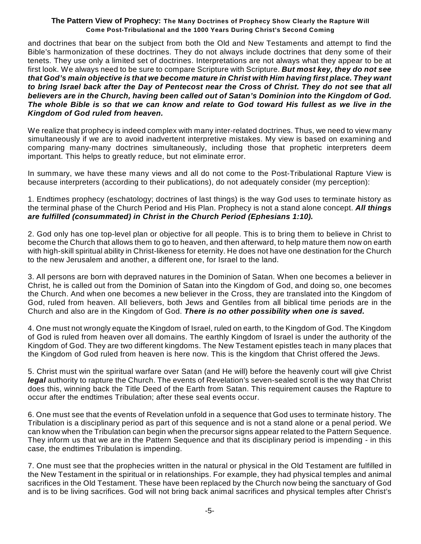and doctrines that bear on the subject from both the Old and New Testaments and attempt to find the Bible's harmonization of these doctrines. They do not always include doctrines that deny some of their tenets. They use only a limited set of doctrines. Interpretations are not always what they appear to be at first look. We always need to be sure to compare Scripture with Scripture. *But most key, they do not see that God's main objective is that we become mature in Christ with Him having first place. They want to bring Israel back after the Day of Pentecost near the Cross of Christ. They do not see that all believers are in the Church, having been called out of Satan's Dominion into the Kingdom of God. The whole Bible is so that we can know and relate to God toward His fullest as we live in the Kingdom of God ruled from heaven.*

We realize that prophecy is indeed complex with many inter-related doctrines. Thus, we need to view many simultaneously if we are to avoid inadvertent interpretive mistakes. My view is based on examining and comparing many-many doctrines simultaneously, including those that prophetic interpreters deem important. This helps to greatly reduce, but not eliminate error.

In summary, we have these many views and all do not come to the Post-Tribulational Rapture View is because interpreters (according to their publications), do not adequately consider (my perception):

1. Endtimes prophecy (eschatology; doctrines of last things) is the way God uses to terminate history as the terminal phase of the Church Period and His Plan. Prophecy is not a stand alone concept. *All things are fulfilled (consummated) in Christ in the Church Period (Ephesians 1:10).*

2. God only has one top-level plan or objective for all people. This is to bring them to believe in Christ to become the Church that allows them to go to heaven, and then afterward, to help mature them now on earth with high-skill spiritual ability in Christ-likeness for eternity. He does not have one destination for the Church to the new Jerusalem and another, a different one, for Israel to the land.

3. All persons are born with depraved natures in the Dominion of Satan. When one becomes a believer in Christ, he is called out from the Dominion of Satan into the Kingdom of God, and doing so, one becomes the Church. And when one becomes a new believer in the Cross, they are translated into the Kingdom of God, ruled from heaven. All believers, both Jews and Gentiles from all biblical time periods are in the Church and also are in the Kingdom of God. *There is no other possibility when one is saved.*

4. One must not wrongly equate the Kingdom of Israel, ruled on earth, to the Kingdom of God. The Kingdom of God is ruled from heaven over all domains. The earthly Kingdom of Israel is under the authority of the Kingdom of God. They are two different kingdoms. The New Testament epistles teach in many places that the Kingdom of God ruled from heaven is here now. This is the kingdom that Christ offered the Jews.

5. Christ must win the spiritual warfare over Satan (and He will) before the heavenly court will give Christ *legal* authority to rapture the Church. The events of Revelation's seven-sealed scroll is the way that Christ does this, winning back the Title Deed of the Earth from Satan. This requirement causes the Rapture to occur after the endtimes Tribulation; after these seal events occur.

6. One must see that the events of Revelation unfold in a sequence that God uses to terminate history. The Tribulation is a disciplinary period as part of this sequence and is not a stand alone or a penal period. We can know when the Tribulation can begin when the precursor signs appear related to the Pattern Sequence. They inform us that we are in the Pattern Sequence and that its disciplinary period is impending - in this case, the endtimes Tribulation is impending.

7. One must see that the prophecies written in the natural or physical in the Old Testament are fulfilled in the New Testament in the spiritual or in relationships. For example, they had physical temples and animal sacrifices in the Old Testament. These have been replaced by the Church now being the sanctuary of God and is to be living sacrifices. God will not bring back animal sacrifices and physical temples after Christ's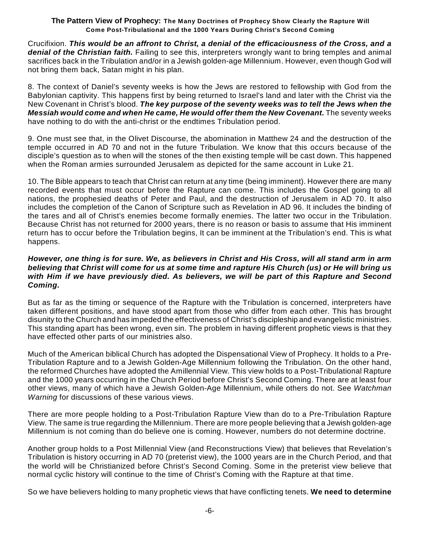Crucifixion. *This would be an affront to Christ, a denial of the efficaciousness of the Cross, and a denial of the Christian faith.* Failing to see this, interpreters wrongly want to bring temples and animal sacrifices back in the Tribulation and/or in a Jewish golden-age Millennium. However, even though God will not bring them back, Satan might in his plan.

8. The context of Daniel's seventy weeks is how the Jews are restored to fellowship with God from the Babylonian captivity. This happens first by being returned to Israel's land and later with the Christ via the New Covenant in Christ's blood. *The key purpose of the seventy weeks was to tell the Jews when the Messiah would come and when He came, He would offer them the New Covenant.* The seventy weeks have nothing to do with the anti-christ or the endtimes Tribulation period.

9. One must see that, in the Olivet Discourse, the abomination in Matthew 24 and the destruction of the temple occurred in AD 70 and not in the future Tribulation. We know that this occurs because of the disciple's question as to when will the stones of the then existing temple will be cast down. This happened when the Roman armies surrounded Jerusalem as depicted for the same account in Luke 21.

10. The Bible appears to teach that Christ can return at any time (being imminent). However there are many recorded events that must occur before the Rapture can come. This includes the Gospel going to all nations, the prophesied deaths of Peter and Paul, and the destruction of Jerusalem in AD 70. It also includes the completion of the Canon of Scripture such as Revelation in AD 96. It includes the binding of the tares and all of Christ's enemies become formally enemies. The latter two occur in the Tribulation. Because Christ has not returned for 2000 years, there is no reason or basis to assume that His imminent return has to occur before the Tribulation begins, It can be imminent at the Tribulation's end. This is what happens.

#### *However, one thing is for sure. We, as believers in Christ and His Cross, will all stand arm in arm believing that Christ will come for us at some time and rapture His Church (us) or He will bring us with Him if we have previously died. As believers, we will be part of this Rapture and Second Coming.*

But as far as the timing or sequence of the Rapture with the Tribulation is concerned, interpreters have taken different positions, and have stood apart from those who differ from each other. This has brought disunity to the Church and has impeded the effectiveness of Christ's discipleship and evangelistic ministries. This standing apart has been wrong, even sin. The problem in having different prophetic views is that they have effected other parts of our ministries also.

Much of the American biblical Church has adopted the Dispensational View of Prophecy. It holds to a Pre-Tribulation Rapture and to a Jewish Golden-Age Millennium following the Tribulation. On the other hand, the reformed Churches have adopted the Amillennial View. This view holds to a Post-Tribulational Rapture and the 1000 years occurring in the Church Period before Christ's Second Coming. There are at least four other views, many of which have a Jewish Golden-Age Millennium, while others do not. See *Watchman Warning* for discussions of these various views.

There are more people holding to a Post-Tribulation Rapture View than do to a Pre-Tribulation Rapture View. The same is true regarding the Millennium. There are more people believing that a Jewish golden-age Millennium is not coming than do believe one is coming. However, numbers do not determine doctrine.

Another group holds to a Post Millennial View (and Reconstructions View) that believes that Revelation's Tribulation is history occurring in AD 70 (preterist view), the 1000 years are in the Church Period, and that the world will be Christianized before Christ's Second Coming. Some in the preterist view believe that normal cyclic history will continue to the time of Christ's Coming with the Rapture at that time.

So we have believers holding to many prophetic views that have conflicting tenets. **We need to determine**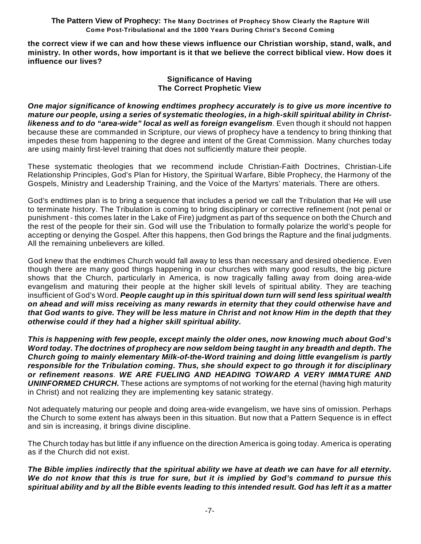**the correct view if we can and how these views influence our Christian worship, stand, walk, and ministry. In other words, how important is it that we believe the correct biblical view. How does it influence our lives?**

#### **Significance of Having The Correct Prophetic View**

*One major significance of knowing endtimes prophecy accurately is to give us more incentive to mature our people, using a series of systematic theologies, in a high-skill spiritual ability in Christlikeness and to do "area-wide" local as well as foreign evangelism*. Even though it should not happen because these are commanded in Scripture, our views of prophecy have a tendency to bring thinking that impedes these from happening to the degree and intent of the Great Commission. Many churches today are using mainly first-level training that does not sufficiently mature their people.

These systematic theologies that we recommend include Christian-Faith Doctrines, Christian-Life Relationship Principles, God's Plan for History, the Spiritual Warfare, Bible Prophecy, the Harmony of the Gospels, Ministry and Leadership Training, and the Voice of the Martyrs' materials. There are others.

God's endtimes plan is to bring a sequence that includes a period we call the Tribulation that He will use to terminate history. The Tribulation is coming to bring disciplinary or corrective refinement (not penal or punishment - this comes later in the Lake of Fire) judgment as part of ths sequence on both the Church and the rest of the people for their sin. God will use the Tribulation to formally polarize the world's people for accepting or denying the Gospel. After this happens, then God brings the Rapture and the final judgments. All the remaining unbelievers are killed.

God knew that the endtimes Church would fall away to less than necessary and desired obedience. Even though there are many good things happening in our churches with many good results, the big picture shows that the Church, particularly in America, is now tragically falling away from doing area-wide evangelism and maturing their people at the higher skill levels of spiritual ability. They are teaching insufficient of God's Word. *People caught up in this spiritual down turn will send less spiritual wealth on ahead and will miss receiving as many rewards in eternity that they could otherwise have and that God wants to give. They will be less mature in Christ and not know Him in the depth that they otherwise could if they had a higher skill spiritual ability.*

*This is happening with few people, except mainly the older ones, now knowing much about God's Word today. The doctrines of prophecy are now seldom being taught in any breadth and depth. The Church going to mainly elementary Milk-of-the-Word training and doing little evangelism is partly responsible for the Tribulation coming. Thus, she should expect to go through it for disciplinary or refinement reasons*. *WE ARE FUELING AND HEADING TOWARD A VERY IMMATURE AND UNINFORMED CHURCH.* These actions are symptoms of not working for the eternal (having high maturity in Christ) and not realizing they are implementing key satanic strategy.

Not adequately maturing our people and doing area-wide evangelism, we have sins of omission. Perhaps the Church to some extent has always been in this situation. But now that a Pattern Sequence is in effect and sin is increasing, it brings divine discipline.

The Church today has but little if any influence on the direction America is going today. America is operating as if the Church did not exist.

*The Bible implies indirectly that the spiritual ability we have at death we can have for all eternity. We do not know that this is true for sure, but it is implied by God's command to pursue this spiritual ability and by all the Bible events leading to this intended result. God has left it as a matter*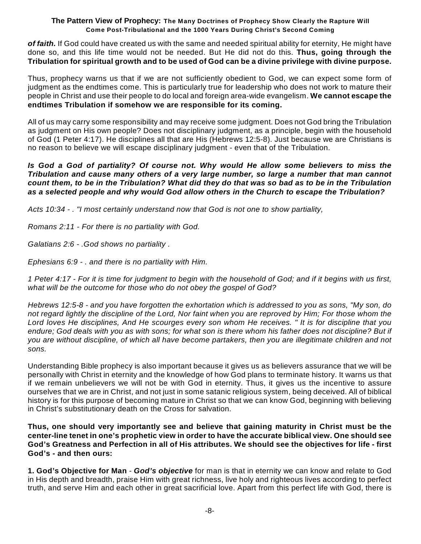*of faith.* If God could have created us with the same and needed spiritual ability for eternity, He might have done so, and this life time would not be needed. But He did not do this. **Thus, going through the Tribulation for spiritual growth and to be used of God can be a divine privilege with divine purpose.**

Thus, prophecy warns us that if we are not sufficiently obedient to God, we can expect some form of judgment as the endtimes come. This is particularly true for leadership who does not work to mature their people in Christ and use their people to do local and foreign area-wide evangelism. **We cannot escape the endtimes Tribulation if somehow we are responsible for its coming.**

All of us may carry some responsibility and may receive some judgment. Does not God bring the Tribulation as judgment on His own people? Does not disciplinary judgment, as a principle, begin with the household of God (1 Peter 4:17). He disciplines all that are His (Hebrews 12:5-8). Just because we are Christians is no reason to believe we will escape disciplinary judgment - even that of the Tribulation.

#### *Is God a God of partiality? Of course not. Why would He allow some believers to miss the Tribulation and cause many others of a very large number, so large a number that man cannot count them, to be in the Tribulation? What did they do that was so bad as to be in the Tribulation as a selected people and why would God allow others in the Church to escape the Tribulation?*

*Acts 10:34 - . "I most certainly understand now that God is not one to show partiality,*

*Romans 2:11 - For there is no partiality with God.*

*Galatians 2:6 - .God shows no partiality .*

*Ephesians 6:9 - . and there is no partiality with Him.*

*1 Peter 4:17 - For it is time for judgment to begin with the household of God; and if it begins with us first, what will be the outcome for those who do not obey the gospel of God?*

*Hebrews 12:5-8 - and you have forgotten the exhortation which is addressed to you as sons, "My son, do not regard lightly the discipline of the Lord, Nor faint when you are reproved by Him; For those whom the Lord loves He disciplines, And He scourges every son whom He receives. " It is for discipline that you endure; God deals with you as with sons; for what son is there whom his father does not discipline? But if you are without discipline, of which all have become partakers, then you are illegitimate children and not sons.*

Understanding Bible prophecy is also important because it gives us as believers assurance that we will be personally with Christ in eternity and the knowledge of how God plans to terminate history. It warns us that if we remain unbelievers we will not be with God in eternity. Thus, it gives us the incentive to assure ourselves that we are in Christ, and not just in some satanic religious system, being deceived. All of biblical history is for this purpose of becoming mature in Christ so that we can know God, beginning with believing in Christ's substitutionary death on the Cross for salvation.

**Thus, one should very importantly see and believe that gaining maturity in Christ must be the center-line tenet in one's prophetic view in order to have the accurate biblical view. One should see God's Greatness and Perfection in all of His attributes. We should see the objectives for life - first God's - and then ours:**

**1. God's Objective for Man** - *God's objective* for man is that in eternity we can know and relate to God in His depth and breadth, praise Him with great richness, live holy and righteous lives according to perfect truth, and serve Him and each other in great sacrificial love. Apart from this perfect life with God, there is